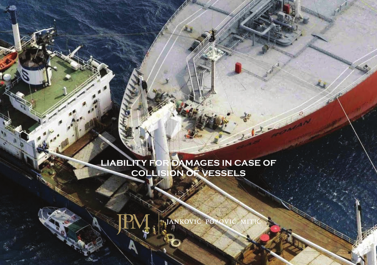# **LIABILITY FOR DAMAGES IN CASE OF COLLISION OF VESSELS**



JANKOVIĆ POI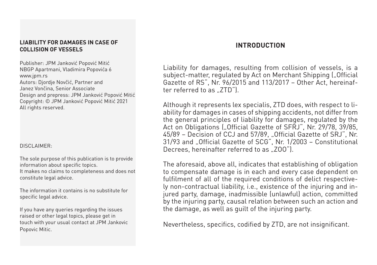#### **LIABILITY FOR DAMAGES IN CASE OF COLLISION OF VESSELS**

Publisher: JPM Janković Popović Mitić NBGP Apartmani, Vladimira Popovića 6 www.jpm.rs Autors: Djordje Novčić, Partner and Janez Vončina, Senior Associate Design and prepress: JPM Janković Popović Mitić Copyright: © JPM Janković Popović Mitić 2021 All rights reserved.

#### DISCI AIMFR:

The sole purpose of this publication is to provide information about specific topics.

It makes no claims to completeness and does not constitute legal advice.

The information it contains is no substitute for specific legal advice.

If you have any queries regarding the issues raised or other legal topics, please get in touch with your usual contact at JPM Jankovic Popovic Mitic.

# **Introduction**

Liability for damages, resulting from collision of vessels, is a subject-matter, regulated by Act on Merchant Shipping ("Official Gazette of RS", Nr. 96/2015 and 113/2017 – Other Act, hereinafter referred to as  $ZTD''$ ).

Although it represents lex specialis, ZTD does, with respect to liability for damages in cases of shipping accidents, not differ from the general principles of liability for damages, regulated by the Act on Obligations ("Official Gazette of SFRJ", Nr. 29/78, 39/85, 45/89 - Decision of CCJ and 57/89, "Official Gazette of SRJ", Nr. 31/93 and "Official Gazette of SCG", Nr. 1/2003 - Constitutional Decrees, hereinafter referred to as ...ZOO").

The aforesaid, above all, indicates that establishing of obligation to compensate damage is in each and every case dependent on fulfilment of all of the required conditions of delict respectively non-contractual liability, i.e., existence of the injuring and injured party, damage, inadmissible (unlawful) action, committed by the injuring party, causal relation between such an action and the damage, as well as guilt of the injuring party.

Nevertheless, specifics, codified by ZTD, are not insignificant.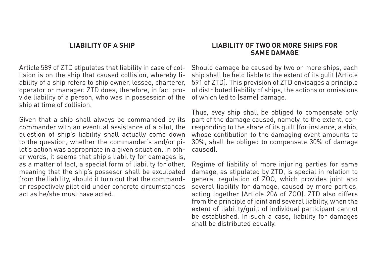#### **Liability of a ship**

Article 589 of ZTD stipulates that liability in case of collision is on the ship that caused collision, whereby liability of a ship refers to ship owner, lessee, charterer, operator or manager. ZTD does, therefore, in fact provide liability of a person, who was in possession of the ship at time of collision.

Given that a ship shall always be commanded by its commander with an eventual assistance of a pilot, the question of ship's liability shall actually come down to the question, whether the commander's and/or pilot's action was appropriate in a given situation. In other words, it seems that ship's liability for damages is, as a matter of fact, a special form of liability for other, meaning that the ship's possesor shall be exculpated from the liability, should it turn out that the commander respectively pilot did under concrete circumstances act as he/she must have acted.

#### **Liability of two or more ships for same damage**

Should damage be caused by two or more ships, each ship shall be held liable to the extent of its gulit (Article 591 of ZTD). This provision of ZTD envisages a principle of distributed liability of ships, the actions or omissions of which led to (same) damage.

Thus, evey ship shall be obliged to compensate only part of the damage caused, namely, to the extent, corresponding to the share of its guilt (for instance, a ship, whose contibution to the damaging event amounts to 30%, shall be obliged to compensate 30% of damage caused).

Regime of liability of more injuring parties for same damage, as stipulated by ZTD, is special in relation to general regulation of ZOO, which provides joint and several liability for damage, caused by more parties, acting together (Article 206 of ZOO). ZTD also differs from the principle of joint and several liability, when the extent of liability/guilt of individual participant cannot be established. In such a case, liability for damages shall be distributed equally.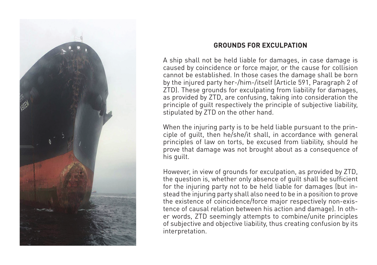

# **Grounds for exculpation**

A ship shall not be held liable for damages, in case damage is caused by coincidence or force major, or the cause for collision cannot be established. In those cases the damage shall be born by the injured party her-/him-/itself (Article 591, Paragraph 2 of ZTD). These grounds for exculpating from liability for damages, as provided by ZTD, are confusing, taking into consideration the principle of guilt respectively the principle of subjective liability, stipulated by ZTD on the other hand.

When the injuring party is to be held liable pursuant to the principle of guilt, then he/she/it shall, in accordance with general principles of law on torts, be excused from liability, should he prove that damage was not brought about as a consequence of his guilt.

However, in view of grounds for exculpation, as provided by ZTD, the question is, whether only absence of guilt shall be sufficient for the injuring party not to be held liable for damages (but instead the injuring party shall also need to be in a position to prove the existence of coincidence/force major respectively non-existence of causal relation between his action and damage). In other words, ZTD seemingly attempts to combine/unite principles of subjective and objective liability, thus creating confusion by its interpretation.